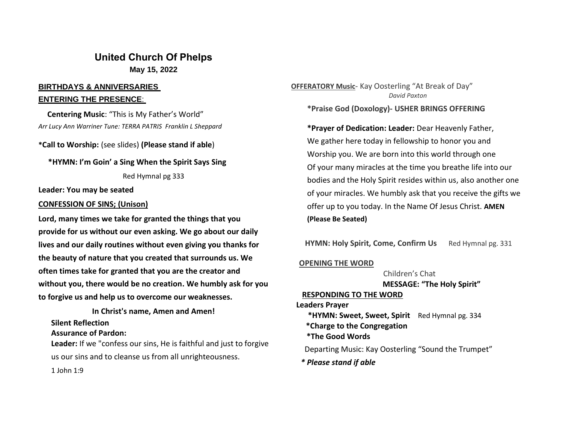# **United Church Of Phelps May 15, 2022**

## **BIRTHDAYS & ANNIVERSARIES ENTERING THE PRESENCE**:

 **Centering Music**: "This is My Father's World" *Arr Lucy Ann Warriner Tune: TERRA PATRIS Franklin L Sheppard*

**\*Call to Worship:** (see slides) **(Please stand if able**)

 **\*HYMN: I'm Goin' a Sing When the Spirit Says Sing**

Red Hymnal pg 333

**Leader: You may be seated**

#### **CONFESSION OF SINS; (Unison)**

**Lord, many times we take for granted the things that you provide for us without our even asking. We go about our daily lives and our daily routines without even giving you thanks for the beauty of nature that you created that surrounds us. We often times take for granted that you are the creator and without you, there would be no creation. We humbly ask for you to forgive us and help us to overcome our weaknesses.**

**In Christ's name, Amen and Amen! Silent Reflection**

**Assurance of Pardon:**

**Leader:** If we "confess our sins, He is faithful and just to forgive us our sins and to cleanse us from all unrighteousness.

**OFFERATORY Music**- Kay Oosterling "At Break of Day" *David Paxton*

**\*Praise God (Doxology)- USHER BRINGS OFFERING**

**\*Prayer of Dedication: Leader:** Dear Heavenly Father, We gather here today in fellowship to honor you and Worship you. We are born into this world through one Of your many miracles at the time you breathe life into our bodies and the Holy Spirit resides within us, also another one of your miracles. We humbly ask that you receive the gifts we offer up to you today. In the Name Of Jesus Christ. **AMEN (Please Be Seated)**

**HYMN: Holy Spirit, Come, Confirm Us** Red Hymnal pg. 331

## **OPENING THE WORD**

Children's Chat **MESSAGE: "The Holy Spirit"**

## **RESPONDING TO THE WORD**

**Leaders Prayer**

 **\*HYMN: Sweet, Sweet, Spirit** Red Hymnal pg. 334  **\*Charge to the Congregation**

 **\*The Good Words**

Departing Music: Kay Oosterling "Sound the Trumpet"

*\* Please stand if able*

1 John 1:9